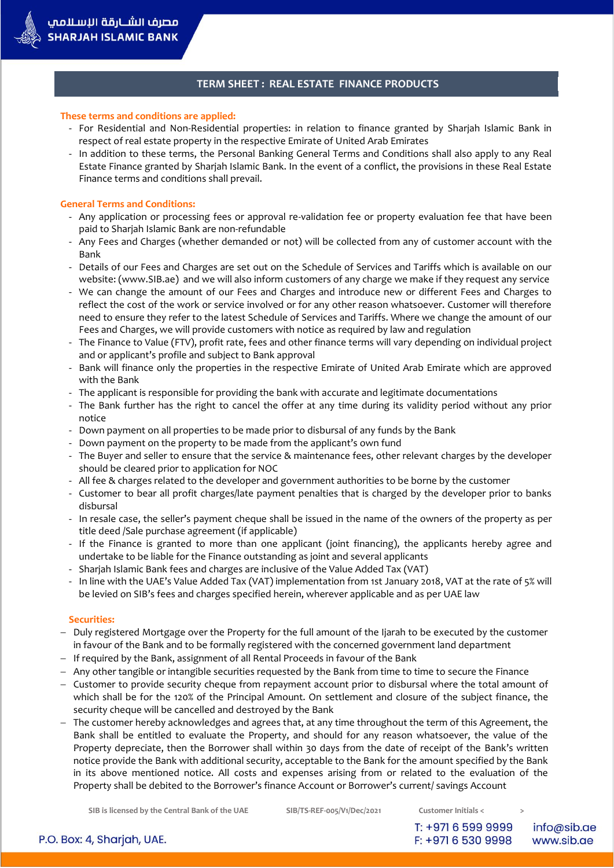#### **These terms and conditions are applied:**

- For Residential and Non-Residential properties: in relation to finance granted by Sharjah Islamic Bank in respect of real estate property in the respective Emirate of United Arab Emirates
- In addition to these terms, the Personal Banking General Terms and Conditions shall also apply to any Real Estate Finance granted by Sharjah Islamic Bank. In the event of a conflict, the provisions in these Real Estate Finance terms and conditions shall prevail.

#### **General Terms and Conditions:**

مصرف الشــارقة الاسـلامم **SHARJAH ISLAMIC BANK** 

- Any application or processing fees or approval re-validation fee or property evaluation fee that have been paid to Sharjah Islamic Bank are non-refundable
- Any Fees and Charges (whether demanded or not) will be collected from any of customer account with the Bank
- Details of our Fees and Charges are set out on the Schedule of Services and Tariffs which is available on our website: (www.SIB.ae) and we will also inform customers of any charge we make if they request any service
- We can change the amount of our Fees and Charges and introduce new or different Fees and Charges to reflect the cost of the work or service involved or for any other reason whatsoever. Customer will therefore need to ensure they refer to the latest Schedule of Services and Tariffs. Where we change the amount of our Fees and Charges, we will provide customers with notice as required by law and regulation
- The Finance to Value (FTV), profit rate, fees and other finance terms will vary depending on individual project and or applicant's profile and subject to Bank approval
- Bank will finance only the properties in the respective Emirate of United Arab Emirate which are approved with the Bank
- The applicant is responsible for providing the bank with accurate and legitimate documentations
- The Bank further has the right to cancel the offer at any time during its validity period without any prior notice
- Down payment on all properties to be made prior to disbursal of any funds by the Bank
- Down payment on the property to be made from the applicant's own fund
- The Buyer and seller to ensure that the service & maintenance fees, other relevant charges by the developer should be cleared prior to application for NOC
- All fee & charges related to the developer and government authorities to be borne by the customer
- Customer to bear all profit charges/late payment penalties that is charged by the developer prior to banks disbursal
- In resale case, the seller's payment cheque shall be issued in the name of the owners of the property as per title deed /Sale purchase agreement (if applicable)
- If the Finance is granted to more than one applicant (joint financing), the applicants hereby agree and undertake to be liable for the Finance outstanding as joint and several applicants
- Sharjah Islamic Bank fees and charges are inclusive of the Value Added Tax (VAT)
- In line with the UAE's Value Added Tax (VAT) implementation from 1st January 2018, VAT at the rate of 5% will be levied on SIB's fees and charges specified herein, wherever applicable and as per UAE law

#### **Securities:**

- Duly registered Mortgage over the Property for the full amount of the Ijarah to be executed by the customer in favour of the Bank and to be formally registered with the concerned government land department
- If required by the Bank, assignment of all Rental Proceeds in favour of the Bank
- Any other tangible or intangible securities requested by the Bank from time to time to secure the Finance
- Customer to provide security cheque from repayment account prior to disbursal where the total amount of which shall be for the 120% of the Principal Amount. On settlement and closure of the subject finance, the security cheque will be cancelled and destroyed by the Bank
- $-$  The customer hereby acknowledges and agrees that, at any time throughout the term of this Agreement, the Bank shall be entitled to evaluate the Property, and should for any reason whatsoever, the value of the Property depreciate, then the Borrower shall within 30 days from the date of receipt of the Bank's written notice provide the Bank with additional security, acceptable to the Bank for the amount specified by the Bank in its above mentioned notice. All costs and expenses arising from or related to the evaluation of the Property shall be debited to the Borrower's finance Account or Borrower's current/ savings Account

**SIB is licensed by the Central Bank of the UAE SIB/TS-REF-005/V1/Dec/2021 Customer Initials < >**

T: +971 6 599 9999 F: +971 6 530 9998

info@sib.ae www.sib.ae

P.O. Box: 4, Sharjah, UAE.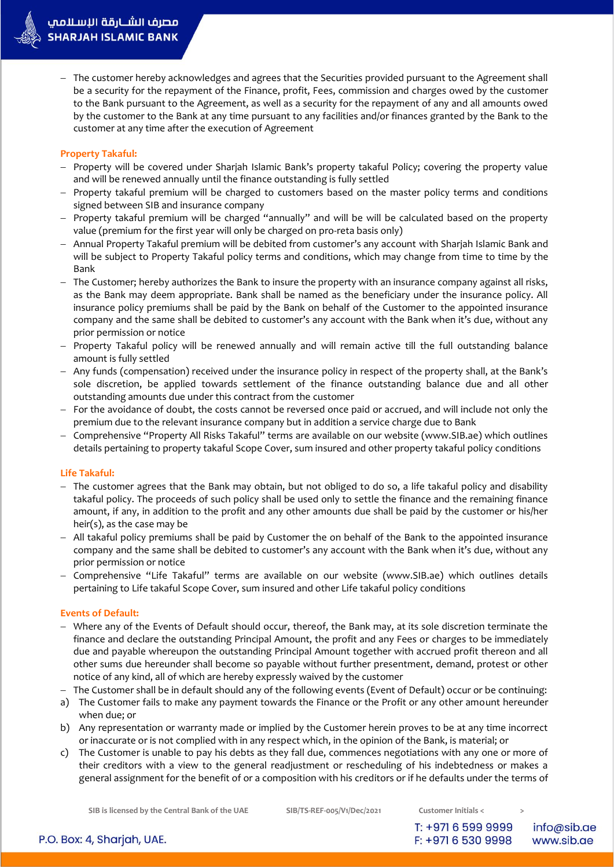- The customer hereby acknowledges and agrees that the Securities provided pursuant to the Agreement shall be a security for the repayment of the Finance, profit, Fees, commission and charges owed by the customer to the Bank pursuant to the Agreement, as well as a security for the repayment of any and all amounts owed by the customer to the Bank at any time pursuant to any facilities and/or finances granted by the Bank to the customer at any time after the execution of Agreement

## **Property Takaful:**

- Property will be covered under Sharjah Islamic Bank's property takaful Policy; covering the property value and will be renewed annually until the finance outstanding is fully settled
- Property takaful premium will be charged to customers based on the master policy terms and conditions signed between SIB and insurance company
- Property takaful premium will be charged "annually" and will be will be calculated based on the property value (premium for the first year will only be charged on pro-reta basis only)
- Annual Property Takaful premium will be debited from customer's any account with Sharjah Islamic Bank and will be subject to Property Takaful policy terms and conditions, which may change from time to time by the Bank
- The Customer; hereby authorizes the Bank to insure the property with an insurance company against all risks, as the Bank may deem appropriate. Bank shall be named as the beneficiary under the insurance policy. All insurance policy premiums shall be paid by the Bank on behalf of the Customer to the appointed insurance company and the same shall be debited to customer's any account with the Bank when it's due, without any prior permission or notice
- Property Takaful policy will be renewed annually and will remain active till the full outstanding balance amount is fully settled
- Any funds (compensation) received under the insurance policy in respect of the property shall, at the Bank's sole discretion, be applied towards settlement of the finance outstanding balance due and all other outstanding amounts due under this contract from the customer
- For the avoidance of doubt, the costs cannot be reversed once paid or accrued, and will include not only the premium due to the relevant insurance company but in addition a service charge due to Bank
- Comprehensive "Property All Risks Takaful" terms are available on our website (www.SIB.ae) which outlines details pertaining to property takaful Scope Cover, sum insured and other property takaful policy conditions

# **Life Takaful:**

- The customer agrees that the Bank may obtain, but not obliged to do so, a life takaful policy and disability takaful policy. The proceeds of such policy shall be used only to settle the finance and the remaining finance amount, if any, in addition to the profit and any other amounts due shall be paid by the customer or his/her heir(s), as the case may be
- All takaful policy premiums shall be paid by Customer the on behalf of the Bank to the appointed insurance company and the same shall be debited to customer's any account with the Bank when it's due, without any prior permission or notice
- Comprehensive "Life Takaful" terms are available on our website (www.SIB.ae) which outlines details pertaining to Life takaful Scope Cover, sum insured and other Life takaful policy conditions

## **Events of Default:**

- Where any of the Events of Default should occur, thereof, the Bank may, at its sole discretion terminate the finance and declare the outstanding Principal Amount, the profit and any Fees or charges to be immediately due and payable whereupon the outstanding Principal Amount together with accrued profit thereon and all other sums due hereunder shall become so payable without further presentment, demand, protest or other notice of any kind, all of which are hereby expressly waived by the customer
- The Customer shall be in default should any of the following events (Event of Default) occur or be continuing:
- a) The Customer fails to make any payment towards the Finance or the Profit or any other amount hereunder when due; or
- b) Any representation or warranty made or implied by the Customer herein proves to be at any time incorrect or inaccurate or is not complied with in any respect which, in the opinion of the Bank, is material; or
- c) The Customer is unable to pay his debts as they fall due, commences negotiations with any one or more of their creditors with a view to the general readjustment or rescheduling of his indebtedness or makes a general assignment for the benefit of or a composition with his creditors or if he defaults under the terms of

**SIB is licensed by the Central Bank of the UAE SIB/TS-REF-005/V1/Dec/2021 Customer Initials < >**

T: +971 6 599 9999 info@sib.ae F: +971 6 530 9998 www.sib.ae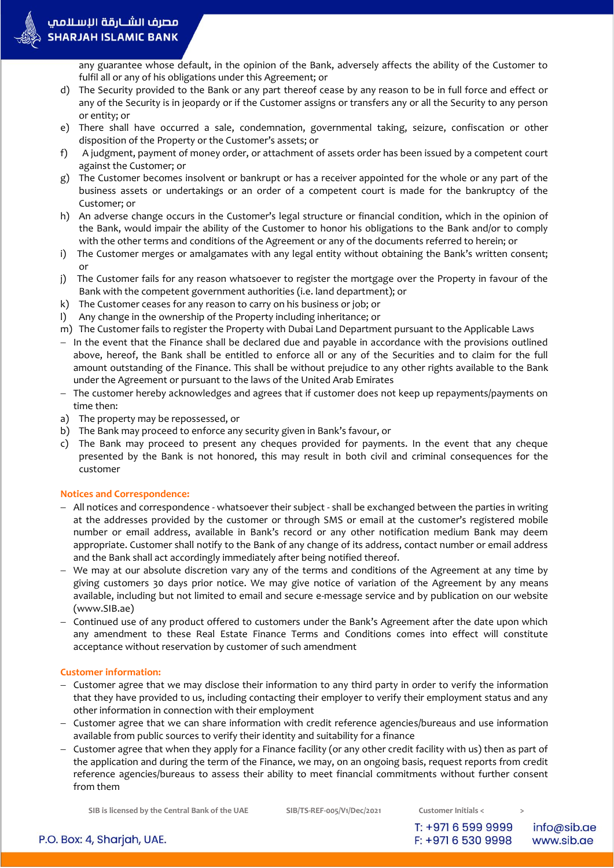

any guarantee whose default, in the opinion of the Bank, adversely affects the ability of the Customer to fulfil all or any of his obligations under this Agreement; or

- d) The Security provided to the Bank or any part thereof cease by any reason to be in full force and effect or any of the Security is in jeopardy or if the Customer assigns or transfers any or all the Security to any person or entity; or
- e) There shall have occurred a sale, condemnation, governmental taking, seizure, confiscation or other disposition of the Property or the Customer's assets; or
- f) A judgment, payment of money order, or attachment of assets order has been issued by a competent court against the Customer; or
- g) The Customer becomes insolvent or bankrupt or has a receiver appointed for the whole or any part of the business assets or undertakings or an order of a competent court is made for the bankruptcy of the Customer; or
- h) An adverse change occurs in the Customer's legal structure or financial condition, which in the opinion of the Bank, would impair the ability of the Customer to honor his obligations to the Bank and/or to comply with the other terms and conditions of the Agreement or any of the documents referred to herein; or
- i) The Customer merges or amalgamates with any legal entity without obtaining the Bank's written consent; or
- j) The Customer fails for any reason whatsoever to register the mortgage over the Property in favour of the Bank with the competent government authorities (i.e. land department); or
- k) The Customer ceases for any reason to carry on his business or job; or
- l) Any change in the ownership of the Property including inheritance; or
- m) The Customer fails to register the Property with Dubai Land Department pursuant to the Applicable Laws
- $-$  In the event that the Finance shall be declared due and payable in accordance with the provisions outlined above, hereof, the Bank shall be entitled to enforce all or any of the Securities and to claim for the full amount outstanding of the Finance. This shall be without prejudice to any other rights available to the Bank under the Agreement or pursuant to the laws of the United Arab Emirates
- The customer hereby acknowledges and agrees that if customer does not keep up repayments/payments on time then:
- a) The property may be repossessed, or
- b) The Bank may proceed to enforce any security given in Bank's favour, or
- c) The Bank may proceed to present any cheques provided for payments. In the event that any cheque presented by the Bank is not honored, this may result in both civil and criminal consequences for the customer

### **Notices and Correspondence:**

- All notices and correspondence whatsoever their subject shall be exchanged between the parties in writing at the addresses provided by the customer or through SMS or email at the customer's registered mobile number or email address, available in Bank's record or any other notification medium Bank may deem appropriate. Customer shall notify to the Bank of any change of its address, contact number or email address and the Bank shall act accordingly immediately after being notified thereof.
- We may at our absolute discretion vary any of the terms and conditions of the Agreement at any time by giving customers 30 days prior notice. We may give notice of variation of the Agreement by any means available, including but not limited to email and secure e-message service and by publication on our website (www.SIB.ae)
- Continued use of any product offered to customers under the Bank's Agreement after the date upon which any amendment to these Real Estate Finance Terms and Conditions comes into effect will constitute acceptance without reservation by customer of such amendment

### **Customer information:**

- $-$  Customer agree that we may disclose their information to any third party in order to verify the information that they have provided to us, including contacting their employer to verify their employment status and any other information in connection with their employment
- Customer agree that we can share information with credit reference agencies/bureaus and use information available from public sources to verify their identity and suitability for a finance
- Customer agree that when they apply for a Finance facility (or any other credit facility with us) then as part of the application and during the term of the Finance, we may, on an ongoing basis, request reports from credit reference agencies/bureaus to assess their ability to meet financial commitments without further consent from them

**SIB is licensed by the Central Bank of the UAE SIB/TS-REF-005/V1/Dec/2021 Customer Initials < >**

T: +971 6 599 9999 F: +971 6 530 9998

info@sib.ae www.sib.ae

P.O. Box: 4, Sharjah, UAE.